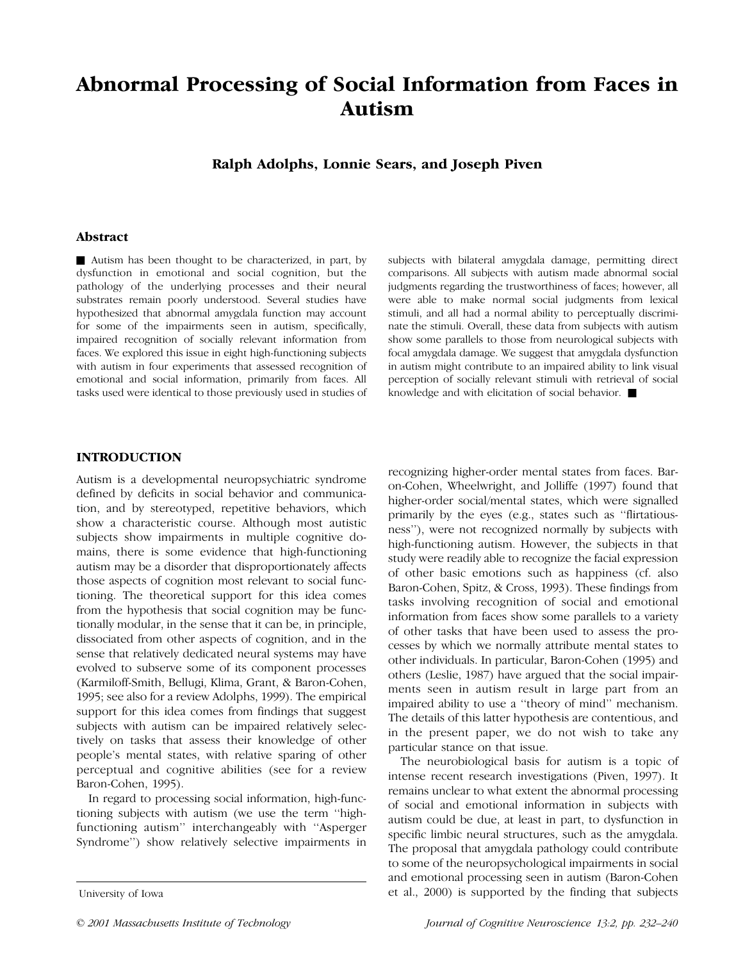# Abnormal Processing of Social Information from Faces in **Autism**

Ralph Adolphs, Lonnie Sears, and Joseph Piven

#### **Abstract**

Autism has been thought to be characterized, in part, by dysfunction in emotional and social cognition, but the pathology of the underlying processes and their neural substrates remain poorly understood. Several studies have hypothesized that abnormal amygdala function may account for some of the impairments seen in autism, specifically, impaired recognition of socially relevant information from faces. We explored this issue in eight high-functioning subjects with autism in four experiments that assessed recognition of emotional and social information, primarily from faces. All tasks used were identical to those previously used in studies of subjects with bilateral amygdala damage, permitting direct comparisons. All subjects with autism made abnormal social judgments regarding the trustworthiness of faces; however, all were able to make normal social judgments from lexical stimuli, and all had a normal ability to perceptually discriminate the stimuli. Overall, these data from subjects with autism show some parallels to those from neurological subjects with focal amygdala damage. We suggest that amygdala dysfunction in autism might contribute to an impaired ability to link visual perception of socially relevant stimuli with retrieval of social knowledge and with elicitation of social behavior. ■

#### **INTRODUCTION**

Autism is a developmental neuropsychiatric syndrome defined by deficits in social behavior and communication, and by stereotyped, repetitive behaviors, which show a characteristic course. Although most autistic subjects show impairments in multiple cognitive domains, there is some evidence that high-functioning autism may be a disorder that disproportionately affects those aspects of cognition most relevant to social functioning. The theoretical support for this idea comes from the hypothesis that social cognition may be functionally modular, in the sense that it can be, in principle, dissociated from other aspects of cognition, and in the sense that relatively dedicated neural systems may have evolved to subserve some of its component processes (Karmiloff-Smith, Bellugi, Klima, Grant, & Baron-Cohen, 1995; see also for a review Adolphs, 1999). The empirical support for this idea comes from findings that suggest subjects with autism can be impaired relatively selectively on tasks that assess their knowledge of other people's mental states, with relative sparing of other perceptual and cognitive abilities (see for a review Baron-Cohen, 1995).

In regard to processing social information, high-functioning subjects with autism (we use the term "highfunctioning autism" interchangeably with "Asperger Syndrome") show relatively selective impairments in

recognizing higher-order mental states from faces. Baron-Cohen, Wheelwright, and Jolliffe (1997) found that higher-order social/mental states, which were signalled primarily by the eyes (e.g., states such as "flirtatiousness"), were not recognized normally by subjects with high-functioning autism. However, the subjects in that study were readily able to recognize the facial expression of other basic emotions such as happiness (cf. also Baron-Cohen, Spitz, & Cross, 1993). These findings from tasks involving recognition of social and emotional information from faces show some parallels to a variety of other tasks that have been used to assess the processes by which we normally attribute mental states to other individuals. In particular, Baron-Cohen (1995) and others (Leslie, 1987) have argued that the social impairments seen in autism result in large part from an impaired ability to use a "theory of mind" mechanism. The details of this latter hypothesis are contentious, and in the present paper, we do not wish to take any particular stance on that issue. The neurobiological basis for autism is a topic of

intense recent research investigations (Piven, 1997). It remains unclear to what extent the abnormal processing of social and emotional information in subjects with autism could be due, at least in part, to dysfunction in specific limbic neural structures, such as the amygdala. The proposal that amygdala pathology could contribute to some of the neuropsychological impairments in social and emotional processing seen in autism (Baron-Cohen et al., 2000) is supported by the finding that subjects

University of Iowa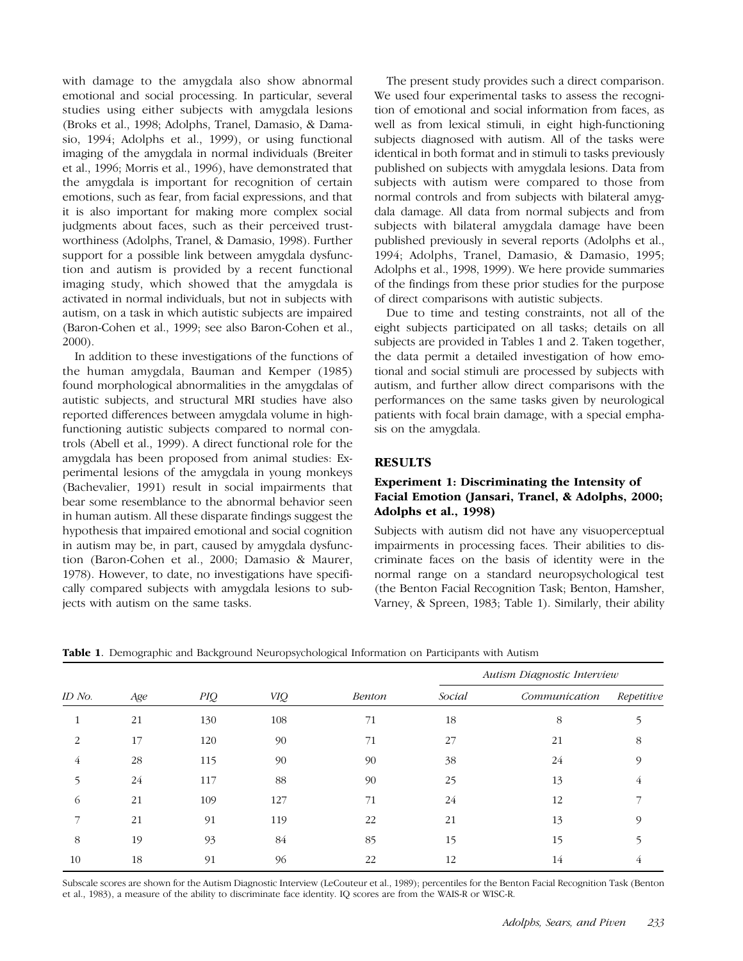with damage to the amygdala also show abnormal emotional and social processing. In particular, several studies using either subjects with amygdala lesions (Broks et al., 1998; Adolphs, Tranel, Damasio, & Damasio, 1994; Adolphs et al., 1999), or using functional imaging of the amygdala in normal individuals (Breiter et al., 1996; Morris et al., 1996), have demonstrated that the amygdala is important for recognition of certain emotions, such as fear, from facial expressions, and that it is also important for making more complex social judgments about faces, such as their perceived trustworthiness (Adolphs, Tranel, & Damasio, 1998). Further support for a possible link between amygdala dysfunction and autism is provided by a recent functional imaging study, which showed that the amygdala is activated in normal individuals, but not in subjects with autism, on a task in which autistic subjects are impaired (Baron-Cohen et al., 1999; see also Baron-Cohen et al.,  $2000$ ).

In addition to these investigations of the functions of the human amygdala, Bauman and Kemper (1985) found morphological abnormalities in the amygdalas of autistic subjects, and structural MRI studies have also reported differences between amygdala volume in highfunctioning autistic subjects compared to normal controls (Abell et al., 1999). A direct functional role for the amygdala has been proposed from animal studies: Experimental lesions of the amygdala in young monkeys (Bachevalier, 1991) result in social impairments that bear some resemblance to the abnormal behavior seen in human autism. All these disparate findings suggest the hypothesis that impaired emotional and social cognition in autism may be, in part, caused by amygdala dysfunction (Baron-Cohen et al., 2000; Damasio & Maurer, 1978). However, to date, no investigations have specifically compared subjects with amygdala lesions to subjects with autism on the same tasks.

The present study provides such a direct comparison. We used four experimental tasks to assess the recognition of emotional and social information from faces, as well as from lexical stimuli, in eight high-functioning subjects diagnosed with autism. All of the tasks were identical in both format and in stimuli to tasks previously published on subjects with amygdala lesions. Data from subjects with autism were compared to those from normal controls and from subjects with bilateral amygdala damage. All data from normal subjects and from subjects with bilateral amygdala damage have been published previously in several reports (Adolphs et al., 1994; Adolphs, Tranel, Damasio, & Damasio, 1995; Adolphs et al., 1998, 1999). We here provide summaries of the findings from these prior studies for the purpose of direct comparisons with autistic subjects.

Due to time and testing constraints, not all of the eight subjects participated on all tasks; details on all subjects are provided in Tables 1 and 2. Taken together, the data permit a detailed investigation of how emotional and social stimuli are processed by subjects with autism, and further allow direct comparisons with the performances on the same tasks given by neurological patients with focal brain damage, with a special emphasis on the amygdala.

#### **RESULTS**

#### **Experiment 1: Discriminating the Intensity of** Facial Emotion (Jansari, Tranel, & Adolphs, 2000; Adolphs et al., 1998)

Subjects with autism did not have any visuoperceptual impairments in processing faces. Their abilities to discriminate faces on the basis of identity were in the normal range on a standard neuropsychological test (the Benton Facial Recognition Task; Benton, Hamsher, Varney, & Spreen, 1983; Table 1). Similarly, their ability

|        | Age | PIQ | VIQ | <b>Benton</b> | Autism Diagnostic Interview |               |            |
|--------|-----|-----|-----|---------------|-----------------------------|---------------|------------|
| ID No. |     |     |     |               | Social                      | Communication | Repetitive |
|        | 21  | 130 | 108 | 71            | 18                          | 8             |            |
| 2      | 17  | 120 | 90  | 71            | 27                          | 21            | 8          |
| 4      | 28  | 115 | 90  | 90            | 38                          | 24            | 9          |
|        | 24  | 117 | 88  | 90            | 25                          | 13            | 4          |
| 6      | 21  | 109 | 127 | 71            | 24                          | 12            |            |
|        | 21  | 91  | 119 | 22            | 21                          | 13            | 9          |
| 8      | 19  | 93  | 84  | 85            | 15                          | 15            |            |
| 10     | 18  | 91  | 96  | 22            | 12                          | 14            | 4          |

Table 1. Demographic and Background Neuropsychological Information on Participants with Autism

Subscale scores are shown for the Autism Diagnostic Interview (LeCouteur et al., 1989); percentiles for the Benton Facial Recognition Task (Benton et al., 1983), a measure of the ability to discriminate face identity. IQ scores are from the WAIS-R or WISC-R.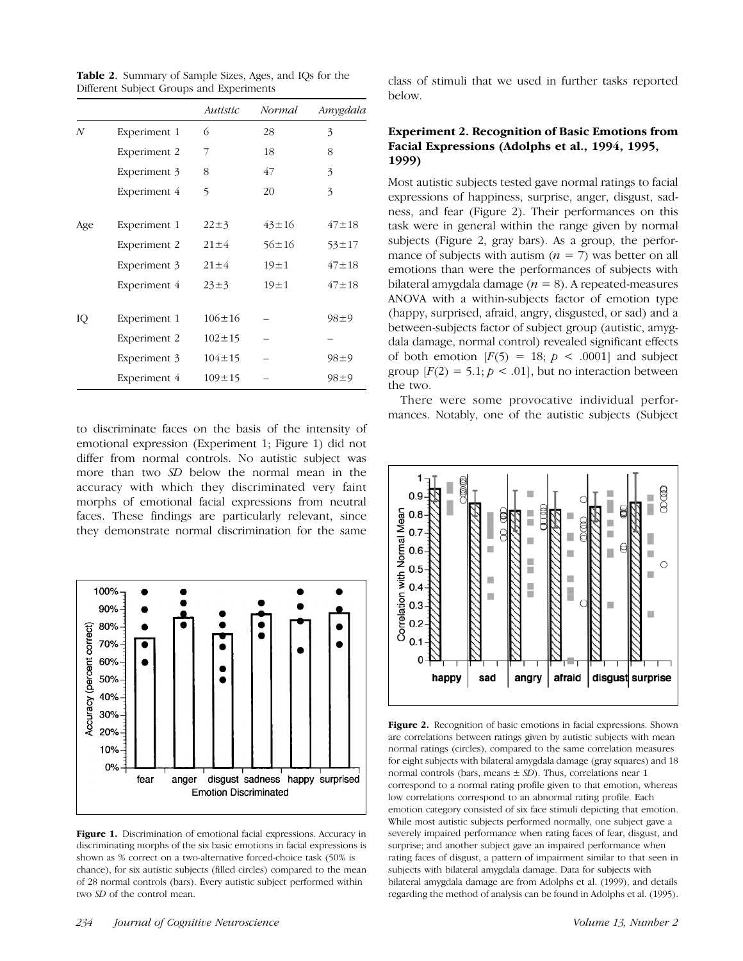**Table 2.** Summary of Sample Sizes, Ages, and IQs for the Different Subject Groups and Experiments

|     |              | Autistic     | Normal      | Amygdala    |
|-----|--------------|--------------|-------------|-------------|
| N   | Experiment 1 | 6            | 28          | 3           |
|     | Experiment 2 | 7            | 18          | 8           |
|     | Experiment 3 | 8            | 47          | 3           |
|     | Experiment 4 | 5            | 20          | 3           |
| Age | Experiment 1 | $22 \pm 3$   | $43 \pm 16$ | $47 \pm 18$ |
|     | Experiment 2 | $21 \pm 4$   | $56 \pm 16$ | $53 \pm 17$ |
|     | Experiment 3 | $21 \pm 4$   | $19 + 1$    | $47 \pm 18$ |
|     | Experiment 4 | $23 \pm 3$   | $19 + 1$    | $47 \pm 18$ |
| IQ  | Experiment 1 | $106 \pm 16$ |             | $98+9$      |
|     | Experiment 2 | $102 \pm 15$ |             |             |
|     | Experiment 3 | $104 \pm 15$ |             | $98+9$      |
|     | Experiment 4 | $109 \pm 15$ |             | $98+9$      |

to discriminate faces on the basis of the intensity of emotional expression (Experiment 1; Figure 1) did not differ from normal controls. No autistic subject was more than two SD below the normal mean in the accuracy with which they discriminated very faint morphs of emotional facial expressions from neutral faces. These findings are particularly relevant, since they demonstrate normal discrimination for the same



Figure 1. Discrimination of emotional facial expressions. Accuracy in discriminating morphs of the six basic emotions in facial expressions is shown as % correct on a two-alternative forced-choice task (50% is chance), for six autistic subjects (filled circles) compared to the mean of 28 normal controls (bars). Every autistic subject performed within two SD of the control mean.

class of stimuli that we used in further tasks reported below.

#### **Experiment 2. Recognition of Basic Emotions from** Facial Expressions (Adolphs et al., 1994, 1995, 1999)

Most autistic subjects tested gave normal ratings to facial expressions of happiness, surprise, anger, disgust, sadness, and fear (Figure 2). Their performances on this task were in general within the range given by normal subjects (Figure 2, gray bars). As a group, the performance of subjects with autism  $(n = 7)$  was better on all emotions than were the performances of subjects with bilateral amygdala damage  $(n = 8)$ . A repeated-measures ANOVA with a within-subjects factor of emotion type (happy, surprised, afraid, angry, disgusted, or sad) and a between-subjects factor of subject group (autistic, amygdala damage, normal control) revealed significant effects of both emotion  $[F(5) = 18; p < .0001]$  and subject group  $[F(2) = 5.1; p < .01]$ , but no interaction between the two.

There were some provocative individual performances. Notably, one of the autistic subjects (Subject



Figure 2. Recognition of basic emotions in facial expressions. Shown are correlations between ratings given by autistic subjects with mean normal ratings (circles), compared to the same correlation measures for eight subjects with bilateral amygdala damage (gray squares) and 18 normal controls (bars, means  $\pm SD$ ). Thus, correlations near 1 correspond to a normal rating profile given to that emotion, whereas low correlations correspond to an abnormal rating profile. Each emotion category consisted of six face stimuli depicting that emotion. While most autistic subjects performed normally, one subject gave a severely impaired performance when rating faces of fear, disgust, and surprise; and another subject gave an impaired performance when rating faces of disgust, a pattern of impairment similar to that seen in subjects with bilateral amygdala damage. Data for subjects with bilateral amygdala damage are from Adolphs et al. (1999), and details regarding the method of analysis can be found in Adolphs et al. (1995).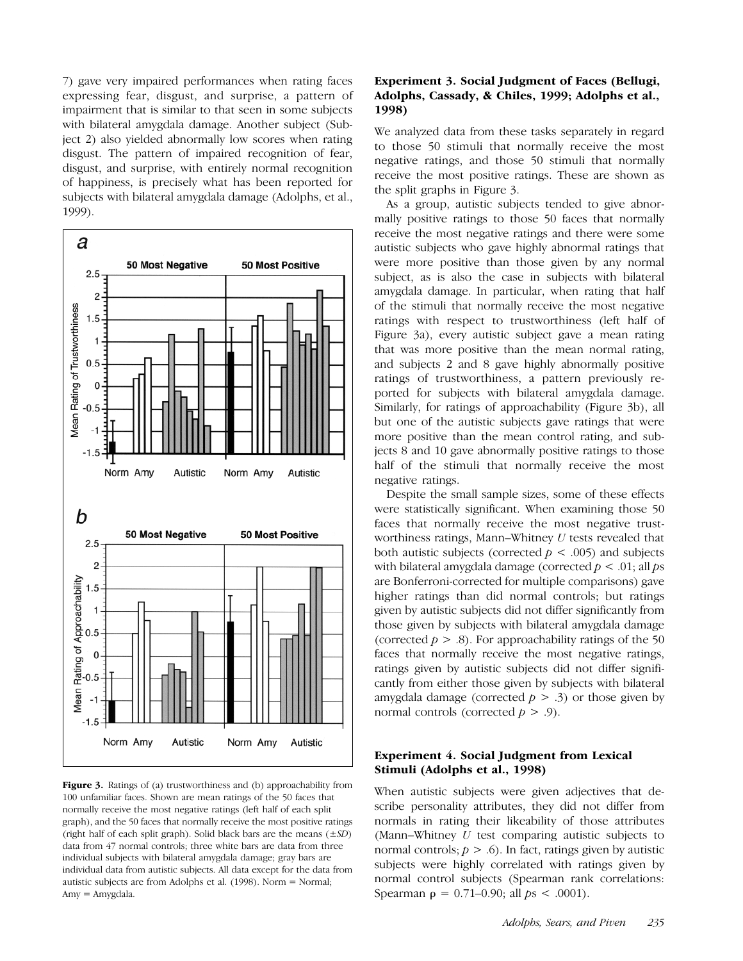7) gave very impaired performances when rating faces expressing fear, disgust, and surprise, a pattern of impairment that is similar to that seen in some subjects with bilateral amygdala damage. Another subject (Subject 2) also yielded abnormally low scores when rating disgust. The pattern of impaired recognition of fear, disgust, and surprise, with entirely normal recognition of happiness, is precisely what has been reported for subjects with bilateral amygdala damage (Adolphs, et al., 1999).



Figure 3. Ratings of (a) trustworthiness and (b) approachability from 100 unfamiliar faces. Shown are mean ratings of the 50 faces that normally receive the most negative ratings (left half of each split graph), and the 50 faces that normally receive the most positive ratings (right half of each split graph). Solid black bars are the means  $(\pm SD)$ data from 47 normal controls; three white bars are data from three individual subjects with bilateral amygdala damage; gray bars are individual data from autistic subjects. All data except for the data from autistic subjects are from Adolphs et al. (1998). Norm = Normal;  $Amy = Amygdala.$ 

## Experiment 3. Social Judgment of Faces (Bellugi, Adolphs, Cassady, & Chiles, 1999; Adolphs et al., 1998)

We analyzed data from these tasks separately in regard to those 50 stimuli that normally receive the most negative ratings, and those 50 stimuli that normally receive the most positive ratings. These are shown as the split graphs in Figure 3.

As a group, autistic subjects tended to give abnormally positive ratings to those 50 faces that normally receive the most negative ratings and there were some autistic subjects who gave highly abnormal ratings that were more positive than those given by any normal subject, as is also the case in subjects with bilateral amygdala damage. In particular, when rating that half of the stimuli that normally receive the most negative ratings with respect to trustworthiness (left half of Figure 3a), every autistic subject gave a mean rating that was more positive than the mean normal rating, and subjects 2 and 8 gave highly abnormally positive ratings of trustworthiness, a pattern previously reported for subjects with bilateral amygdala damage. Similarly, for ratings of approachability (Figure 3b), all but one of the autistic subjects gave ratings that were more positive than the mean control rating, and subjects 8 and 10 gave abnormally positive ratings to those half of the stimuli that normally receive the most negative ratings.

Despite the small sample sizes, some of these effects were statistically significant. When examining those 50 faces that normally receive the most negative trustworthiness ratings, Mann-Whitney  $U$  tests revealed that both autistic subjects (corrected  $p < .005$ ) and subjects with bilateral amygdala damage (corrected  $p < .01$ ; all  $ps$ are Bonferroni-corrected for multiple comparisons) gave higher ratings than did normal controls; but ratings given by autistic subjects did not differ significantly from those given by subjects with bilateral amygdala damage (corrected  $p > .8$ ). For approachability ratings of the 50 faces that normally receive the most negative ratings, ratings given by autistic subjects did not differ significantly from either those given by subjects with bilateral amygdala damage (corrected  $p > .3$ ) or those given by normal controls (corrected  $p > .9$ ).

## **Experiment 4. Social Judgment from Lexical** Stimuli (Adolphs et al., 1998)

When autistic subjects were given adjectives that describe personality attributes, they did not differ from normals in rating their likeability of those attributes (Mann-Whitney  $U$  test comparing autistic subjects to normal controls;  $p > .6$ ). In fact, ratings given by autistic subjects were highly correlated with ratings given by normal control subjects (Spearman rank correlations: Spearman  $\rho = 0.71{\text -}0.90$ ; all  $ps < .0001$ ).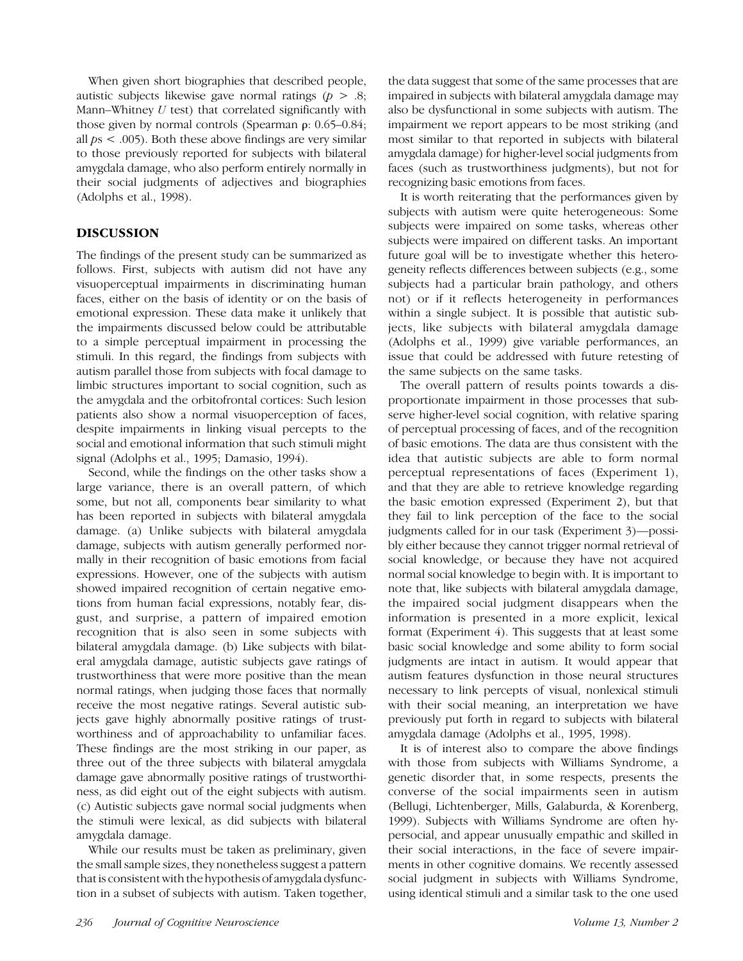When given short biographies that described people, autistic subjects likewise gave normal ratings ( $p > .8$ ; Mann-Whitney  $U$  test) that correlated significantly with those given by normal controls (Spearman  $\rho$ : 0.65–0.84; all  $ps < .005$ ). Both these above findings are very similar to those previously reported for subjects with bilateral amygdala damage, who also perform entirely normally in their social judgments of adjectives and biographies (Adolphs et al., 1998).

# **DISCUSSION**

The findings of the present study can be summarized as follows. First, subjects with autism did not have any visuoperceptual impairments in discriminating human faces, either on the basis of identity or on the basis of emotional expression. These data make it unlikely that the impairments discussed below could be attributable to a simple perceptual impairment in processing the stimuli. In this regard, the findings from subjects with autism parallel those from subjects with focal damage to limbic structures important to social cognition, such as the amygdala and the orbitofrontal cortices: Such lesion patients also show a normal visuoperception of faces, despite impairments in linking visual percepts to the social and emotional information that such stimuli might signal (Adolphs et al., 1995; Damasio, 1994).

Second, while the findings on the other tasks show a large variance, there is an overall pattern, of which some, but not all, components bear similarity to what has been reported in subjects with bilateral amygdala damage. (a) Unlike subjects with bilateral amygdala damage, subjects with autism generally performed normally in their recognition of basic emotions from facial expressions. However, one of the subjects with autism showed impaired recognition of certain negative emotions from human facial expressions, notably fear, disgust, and surprise, a pattern of impaired emotion recognition that is also seen in some subjects with bilateral amygdala damage. (b) Like subjects with bilateral amygdala damage, autistic subjects gave ratings of trustworthiness that were more positive than the mean normal ratings, when judging those faces that normally receive the most negative ratings. Several autistic subjects gave highly abnormally positive ratings of trustworthiness and of approachability to unfamiliar faces. These findings are the most striking in our paper, as three out of the three subjects with bilateral amygdala damage gave abnormally positive ratings of trustworthiness, as did eight out of the eight subjects with autism. (c) Autistic subjects gave normal social judgments when the stimuli were lexical, as did subjects with bilateral amygdala damage.

While our results must be taken as preliminary, given the small sample sizes, they nonetheless suggest a pattern that is consistent with the hypothesis of amygdala dysfunction in a subset of subjects with autism. Taken together,

the data suggest that some of the same processes that are impaired in subjects with bilateral amygdala damage may also be dysfunctional in some subjects with autism. The impairment we report appears to be most striking (and most similar to that reported in subjects with bilateral amygdala damage) for higher-level social judgments from faces (such as trustworthiness judgments), but not for recognizing basic emotions from faces.

It is worth reiterating that the performances given by subjects with autism were quite heterogeneous: Some subjects were impaired on some tasks, whereas other subjects were impaired on different tasks. An important future goal will be to investigate whether this heterogeneity reflects differences between subjects (e.g., some subjects had a particular brain pathology, and others not) or if it reflects heterogeneity in performances within a single subject. It is possible that autistic subjects, like subjects with bilateral amygdala damage (Adolphs et al., 1999) give variable performances, an issue that could be addressed with future retesting of the same subjects on the same tasks.

The overall pattern of results points towards a disproportionate impairment in those processes that subserve higher-level social cognition, with relative sparing of perceptual processing of faces, and of the recognition of basic emotions. The data are thus consistent with the idea that autistic subjects are able to form normal perceptual representations of faces (Experiment 1), and that they are able to retrieve knowledge regarding the basic emotion expressed (Experiment 2), but that they fail to link perception of the face to the social judgments called for in our task (Experiment 3)—possibly either because they cannot trigger normal retrieval of social knowledge, or because they have not acquired normal social knowledge to begin with. It is important to note that, like subjects with bilateral amygdala damage, the impaired social judgment disappears when the information is presented in a more explicit, lexical format (Experiment 4). This suggests that at least some basic social knowledge and some ability to form social judgments are intact in autism. It would appear that autism features dysfunction in those neural structures necessary to link percepts of visual, nonlexical stimuli with their social meaning, an interpretation we have previously put forth in regard to subjects with bilateral amygdala damage (Adolphs et al., 1995, 1998).

It is of interest also to compare the above findings with those from subjects with Williams Syndrome, a genetic disorder that, in some respects, presents the converse of the social impairments seen in autism (Bellugi, Lichtenberger, Mills, Galaburda, & Korenberg, 1999). Subjects with Williams Syndrome are often hypersocial, and appear unusually empathic and skilled in their social interactions, in the face of severe impairments in other cognitive domains. We recently assessed social judgment in subjects with Williams Syndrome, using identical stimuli and a similar task to the one used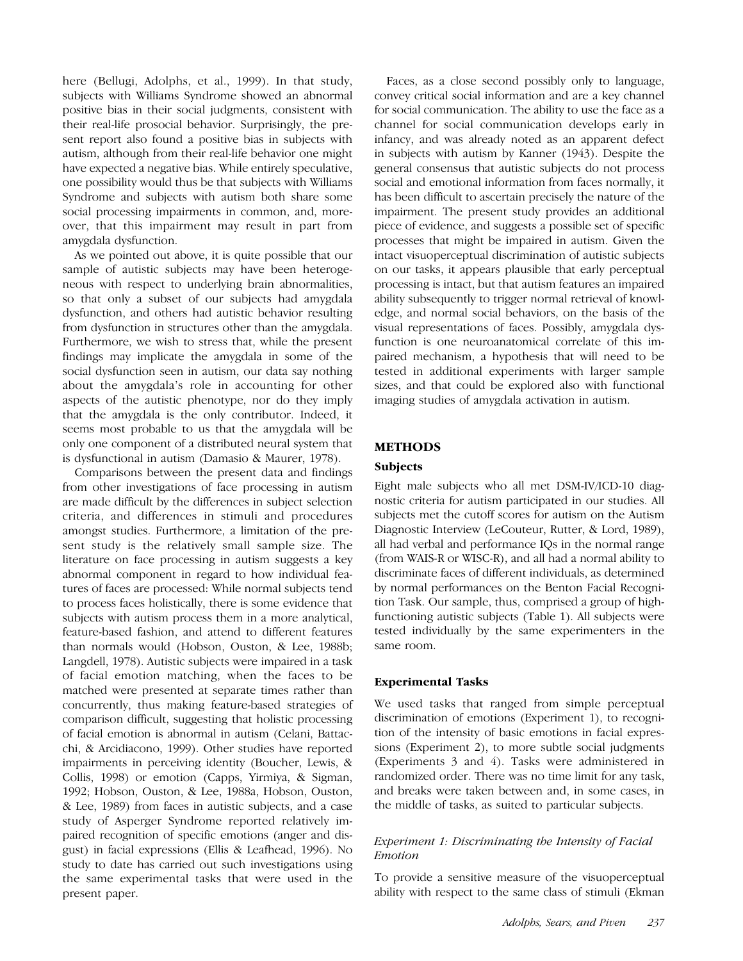here (Bellugi, Adolphs, et al., 1999). In that study, subjects with Williams Syndrome showed an abnormal positive bias in their social judgments, consistent with their real-life prosocial behavior. Surprisingly, the present report also found a positive bias in subjects with autism, although from their real-life behavior one might have expected a negative bias. While entirely speculative, one possibility would thus be that subjects with Williams Syndrome and subjects with autism both share some social processing impairments in common, and, moreover, that this impairment may result in part from amygdala dysfunction.

As we pointed out above, it is quite possible that our sample of autistic subjects may have been heterogeneous with respect to underlying brain abnormalities, so that only a subset of our subjects had amygdala dysfunction, and others had autistic behavior resulting from dysfunction in structures other than the amygdala. Furthermore, we wish to stress that, while the present findings may implicate the amygdala in some of the social dysfunction seen in autism, our data say nothing about the amygdala's role in accounting for other aspects of the autistic phenotype, nor do they imply that the amygdala is the only contributor. Indeed, it seems most probable to us that the amygdala will be only one component of a distributed neural system that is dysfunctional in autism (Damasio & Maurer, 1978).

Comparisons between the present data and findings from other investigations of face processing in autism are made difficult by the differences in subject selection criteria, and differences in stimuli and procedures amongst studies. Furthermore, a limitation of the present study is the relatively small sample size. The literature on face processing in autism suggests a key abnormal component in regard to how individual features of faces are processed: While normal subjects tend to process faces holistically, there is some evidence that subjects with autism process them in a more analytical, feature-based fashion, and attend to different features than normals would (Hobson, Ouston, & Lee, 1988b; Langdell, 1978). Autistic subjects were impaired in a task of facial emotion matching, when the faces to be matched were presented at separate times rather than concurrently, thus making feature-based strategies of comparison difficult, suggesting that holistic processing of facial emotion is abnormal in autism (Celani, Battacchi, & Arcidiacono, 1999). Other studies have reported impairments in perceiving identity (Boucher, Lewis, & Collis, 1998) or emotion (Capps, Yirmiya, & Sigman, 1992; Hobson, Ouston, & Lee, 1988a, Hobson, Ouston, & Lee, 1989) from faces in autistic subjects, and a case study of Asperger Syndrome reported relatively impaired recognition of specific emotions (anger and disgust) in facial expressions (Ellis & Leafhead, 1996). No study to date has carried out such investigations using the same experimental tasks that were used in the present paper.

Faces, as a close second possibly only to language, convey critical social information and are a key channel for social communication. The ability to use the face as a channel for social communication develops early in infancy, and was already noted as an apparent defect in subjects with autism by Kanner (1943). Despite the general consensus that autistic subjects do not process social and emotional information from faces normally, it has been difficult to ascertain precisely the nature of the impairment. The present study provides an additional piece of evidence, and suggests a possible set of specific processes that might be impaired in autism. Given the intact visuoperceptual discrimination of autistic subjects on our tasks, it appears plausible that early perceptual processing is intact, but that autism features an impaired ability subsequently to trigger normal retrieval of knowledge, and normal social behaviors, on the basis of the visual representations of faces. Possibly, amygdala dysfunction is one neuroanatomical correlate of this impaired mechanism, a hypothesis that will need to be tested in additional experiments with larger sample sizes, and that could be explored also with functional imaging studies of amygdala activation in autism.

## **METHODS**

#### Subjects

Eight male subjects who all met DSM-IV/ICD-10 diagnostic criteria for autism participated in our studies. All subjects met the cutoff scores for autism on the Autism Diagnostic Interview (LeCouteur, Rutter, & Lord, 1989), all had verbal and performance IQs in the normal range (from WAIS-R or WISC-R), and all had a normal ability to discriminate faces of different individuals, as determined by normal performances on the Benton Facial Recognition Task. Our sample, thus, comprised a group of highfunctioning autistic subjects (Table 1). All subjects were tested individually by the same experimenters in the same room.

## **Experimental Tasks**

We used tasks that ranged from simple perceptual discrimination of emotions (Experiment 1), to recognition of the intensity of basic emotions in facial expressions (Experiment 2), to more subtle social judgments (Experiments 3 and 4). Tasks were administered in randomized order. There was no time limit for any task, and breaks were taken between and, in some cases, in the middle of tasks, as suited to particular subjects.

## Experiment 1: Discriminating the Intensity of Facial Emotion

To provide a sensitive measure of the visuoperceptual ability with respect to the same class of stimuli (Ekman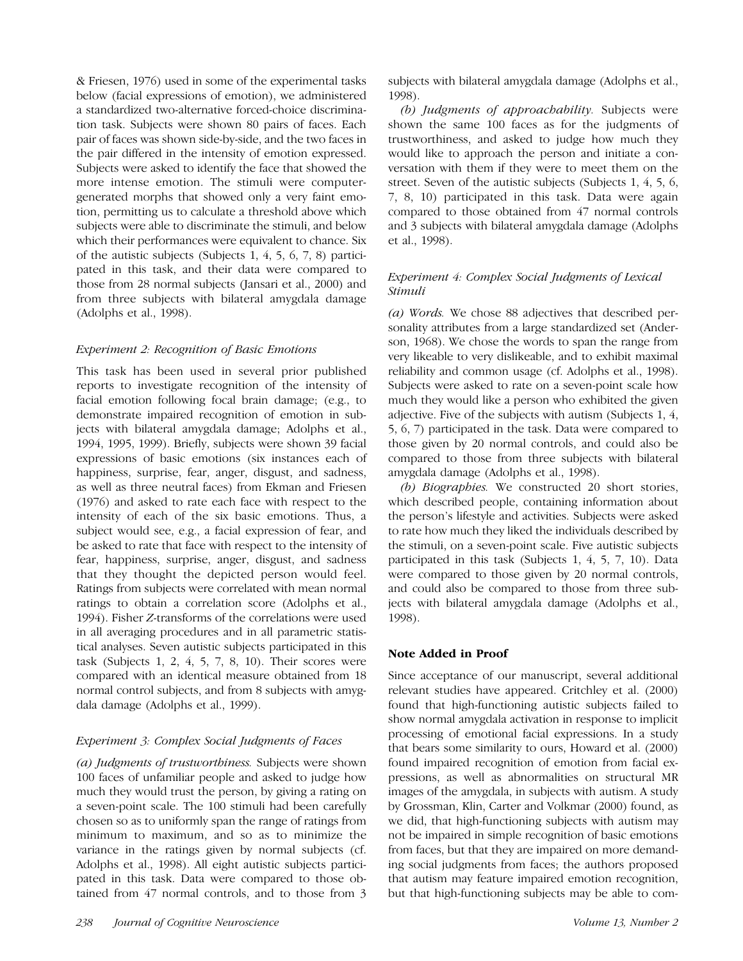& Friesen, 1976) used in some of the experimental tasks below (facial expressions of emotion), we administered a standardized two-alternative forced-choice discrimination task. Subjects were shown 80 pairs of faces. Each pair of faces was shown side-by-side, and the two faces in the pair differed in the intensity of emotion expressed. Subjects were asked to identify the face that showed the more intense emotion. The stimuli were computergenerated morphs that showed only a very faint emotion, permitting us to calculate a threshold above which subjects were able to discriminate the stimuli, and below which their performances were equivalent to chance. Six of the autistic subjects (Subjects 1, 4, 5, 6, 7, 8) participated in this task, and their data were compared to those from 28 normal subjects (Jansari et al., 2000) and from three subjects with bilateral amygdala damage (Adolphs et al., 1998).

## Experiment 2: Recognition of Basic Emotions

This task has been used in several prior published reports to investigate recognition of the intensity of facial emotion following focal brain damage; (e.g., to demonstrate impaired recognition of emotion in subjects with bilateral amygdala damage; Adolphs et al., 1994, 1995, 1999). Briefly, subjects were shown 39 facial expressions of basic emotions (six instances each of happiness, surprise, fear, anger, disgust, and sadness, as well as three neutral faces) from Ekman and Friesen (1976) and asked to rate each face with respect to the intensity of each of the six basic emotions. Thus, a subject would see, e.g., a facial expression of fear, and be asked to rate that face with respect to the intensity of fear, happiness, surprise, anger, disgust, and sadness that they thought the depicted person would feel. Ratings from subjects were correlated with mean normal ratings to obtain a correlation score (Adolphs et al., 1994). Fisher Z-transforms of the correlations were used in all averaging procedures and in all parametric statistical analyses. Seven autistic subjects participated in this task (Subjects 1, 2, 4, 5, 7, 8, 10). Their scores were compared with an identical measure obtained from 18 normal control subjects, and from 8 subjects with amygdala damage (Adolphs et al., 1999).

# Experiment 3: Complex Social Judgments of Faces

(a) Judgments of trustworthiness. Subjects were shown 100 faces of unfamiliar people and asked to judge how much they would trust the person, by giving a rating on a seven-point scale. The 100 stimuli had been carefully chosen so as to uniformly span the range of ratings from minimum to maximum, and so as to minimize the variance in the ratings given by normal subjects (cf. Adolphs et al., 1998). All eight autistic subjects participated in this task. Data were compared to those obtained from 47 normal controls, and to those from 3 subjects with bilateral amygdala damage (Adolphs et al., 1998).

(b) Judgments of approachability. Subjects were shown the same 100 faces as for the judgments of trustworthiness, and asked to judge how much they would like to approach the person and initiate a conversation with them if they were to meet them on the street. Seven of the autistic subjects (Subjects 1, 4, 5, 6, 7, 8, 10) participated in this task. Data were again compared to those obtained from 47 normal controls and 3 subjects with bilateral amygdala damage (Adolphs et al., 1998).

## Experiment 4: Complex Social Judgments of Lexical Stimuli

(a) Words. We chose 88 adjectives that described personality attributes from a large standardized set (Anderson, 1968). We chose the words to span the range from very likeable to very dislikeable, and to exhibit maximal reliability and common usage (cf. Adolphs et al., 1998). Subjects were asked to rate on a seven-point scale how much they would like a person who exhibited the given adjective. Five of the subjects with autism (Subjects 1, 4, 5, 6, 7) participated in the task. Data were compared to those given by 20 normal controls, and could also be compared to those from three subjects with bilateral amygdala damage (Adolphs et al., 1998).

(b) Biographies. We constructed 20 short stories, which described people, containing information about the person's lifestyle and activities. Subjects were asked to rate how much they liked the individuals described by the stimuli, on a seven-point scale. Five autistic subjects participated in this task (Subjects 1, 4, 5, 7, 10). Data were compared to those given by 20 normal controls, and could also be compared to those from three subjects with bilateral amygdala damage (Adolphs et al., 1998).

# Note Added in Proof

Since acceptance of our manuscript, several additional relevant studies have appeared. Critchley et al. (2000) found that high-functioning autistic subjects failed to show normal amygdala activation in response to implicit processing of emotional facial expressions. In a study that bears some similarity to ours, Howard et al. (2000) found impaired recognition of emotion from facial expressions, as well as abnormalities on structural MR images of the amygdala, in subjects with autism. A study by Grossman, Klin, Carter and Volkmar (2000) found, as we did, that high-functioning subjects with autism may not be impaired in simple recognition of basic emotions from faces, but that they are impaired on more demanding social judgments from faces; the authors proposed that autism may feature impaired emotion recognition, but that high-functioning subjects may be able to com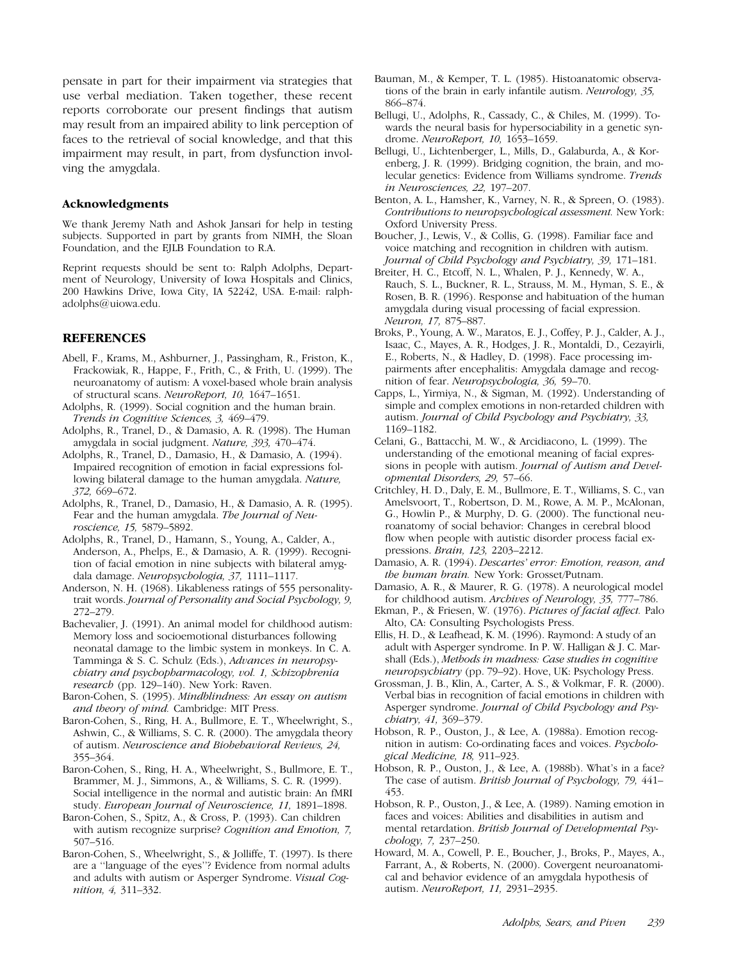pensate in part for their impairment via strategies that use verbal mediation. Taken together, these recent reports corroborate our present findings that autism may result from an impaired ability to link perception of faces to the retrieval of social knowledge, and that this impairment may result, in part, from dysfunction involving the amygdala.

#### Acknowledgments

We thank Jeremy Nath and Ashok Jansari for help in testing subjects. Supported in part by grants from NIMH, the Sloan Foundation, and the EJLB Foundation to R.A.

Reprint requests should be sent to: Ralph Adolphs, Department of Neurology, University of Iowa Hospitals and Clinics, 200 Hawkins Drive, Iowa City, IA 52242, USA. E-mail: ralphadolphs@uiowa.edu.

#### **REFERENCES**

- Abell, F., Krams, M., Ashburner, J., Passingham, R., Friston, K., Frackowiak, R., Happe, F., Frith, C., & Frith, U. (1999). The neuroanatomy of autism: A voxel-based whole brain analysis of structural scans. NeuroReport, 10, 1647-1651.
- Adolphs, R. (1999). Social cognition and the human brain. Trends in Cognitive Sciences, 3, 469-479.
- Adolphs, R., Tranel, D., & Damasio, A. R. (1998). The Human amygdala in social judgment. Nature, 393, 470-474.
- Adolphs, R., Tranel, D., Damasio, H., & Damasio, A. (1994). Impaired recognition of emotion in facial expressions following bilateral damage to the human amygdala. Nature, 372, 669-672.
- Adolphs, R., Tranel, D., Damasio, H., & Damasio, A. R. (1995). Fear and the human amygdala. The Journal of Neuroscience, 15, 5879-5892.
- Adolphs, R., Tranel, D., Hamann, S., Young, A., Calder, A., Anderson, A., Phelps, E., & Damasio, A. R. (1999). Recognition of facial emotion in nine subjects with bilateral amygdala damage. Neuropsychologia, 37, 1111-1117.
- Anderson, N. H. (1968). Likableness ratings of 555 personalitytrait words. Journal of Personality and Social Psychology, 9, 272-279.
- Bachevalier, J. (1991). An animal model for childhood autism: Memory loss and socioemotional disturbances following neonatal damage to the limbic system in monkeys. In C. A. Tamminga & S. C. Schulz (Eds.), Advances in neuropsychiatry and psychopharmacology, vol. 1, Schizophrenia research (pp. 129–140). New York: Raven.
- Baron-Cohen, S. (1995). Mindblindness: An essay on autism and theory of mind. Cambridge: MIT Press.
- Baron-Cohen, S., Ring, H. A., Bullmore, E. T., Wheelwright, S., Ashwin, C., & Williams, S. C. R. (2000). The amygdala theory of autism. Neuroscience and Biobebavioral Reviews, 24, 355-364.
- Baron-Cohen, S., Ring, H. A., Wheelwright, S., Bullmore, E. T., Brammer, M. J., Simmons, A., & Williams, S. C. R. (1999). Social intelligence in the normal and autistic brain: An fMRI study. European Journal of Neuroscience, 11, 1891-1898.
- Baron-Cohen, S., Spitz, A., & Cross, P. (1993). Can children with autism recognize surprise? Cognition and Emotion, 7, 507-516.
- Baron-Cohen, S., Wheelwright, S., & Jolliffe, T. (1997). Is there are a "language of the eyes"? Evidence from normal adults and adults with autism or Asperger Syndrome. Visual Cognition, 4, 311-332.
- Bauman, M., & Kemper, T. L. (1985). Histoanatomic observations of the brain in early infantile autism. Neurology, 35, 866-874.
- Bellugi, U., Adolphs, R., Cassady, C., & Chiles, M. (1999). Towards the neural basis for hypersociability in a genetic syndrome. NeuroReport, 10, 1653-1659.
- Bellugi, U., Lichtenberger, L., Mills, D., Galaburda, A., & Korenberg, J. R. (1999). Bridging cognition, the brain, and molecular genetics: Evidence from Williams syndrome. Trends in Neurosciences, 22, 197-207.
- Benton, A. L., Hamsher, K., Varney, N. R., & Spreen, O. (1983). Contributions to neuropsychological assessment. New York: Oxford University Press.
- Boucher, J., Lewis, V., & Collis, G. (1998). Familiar face and voice matching and recognition in children with autism. Journal of Child Psychology and Psychiatry, 39, 171-181.
- Breiter, H. C., Etcoff, N. L., Whalen, P. J., Kennedy, W. A., Rauch, S. L., Buckner, R. L., Strauss, M. M., Hyman, S. E., & Rosen, B. R. (1996). Response and habituation of the human amygdala during visual processing of facial expression. Neuron, 17, 875-887.
- Broks, P., Young, A. W., Maratos, E. J., Coffey, P. J., Calder, A. J., Isaac, C., Mayes, A. R., Hodges, J. R., Montaldi, D., Cezayirli, E., Roberts, N., & Hadley, D. (1998). Face processing impairments after encephalitis: Amygdala damage and recognition of fear. Neuropsychologia, 36, 59-70.
- Capps, L., Yirmiya, N., & Sigman, M. (1992). Understanding of simple and complex emotions in non-retarded children with autism. Journal of Child Psychology and Psychiatry, 33, 1169-1182.
- Celani, G., Battacchi, M. W., & Arcidiacono, L. (1999). The understanding of the emotional meaning of facial expressions in people with autism. Journal of Autism and Developmental Disorders, 29, 57-66.
- Critchley, H. D., Daly, E. M., Bullmore, E. T., Williams, S. C., van Amelsvoort, T., Robertson, D. M., Rowe, A. M. P., McAlonan, G., Howlin P., & Murphy, D. G. (2000). The functional neuroanatomy of social behavior: Changes in cerebral blood flow when people with autistic disorder process facial expressions. *Brain*, 123, 2203-2212.
- Damasio, A. R. (1994). Descartes' error: Emotion, reason, and the human brain. New York: Grosset/Putnam.
- Damasio, A. R., & Maurer, R. G. (1978). A neurological model for childhood autism. Archives of Neurology, 35, 777-786.
- Ekman, P., & Friesen, W. (1976). Pictures of facial affect. Palo Alto, CA: Consulting Psychologists Press.
- Ellis, H. D., & Leafhead, K. M. (1996). Raymond: A study of an adult with Asperger syndrome. In P. W. Halligan & J. C. Marshall (Eds.), Methods in madness: Case studies in cognitive neuropsychiatry (pp. 79–92). Hove, UK: Psychology Press.
- Grossman, J. B., Klin, A., Carter, A. S., & Volkmar, F. R. (2000). Verbal bias in recognition of facial emotions in children with Asperger syndrome. Journal of Child Psychology and Psychiatry, 41, 369-379.
- Hobson, R. P., Ouston, J., & Lee, A. (1988a). Emotion recognition in autism: Co-ordinating faces and voices. Psychological Medicine, 18, 911-923.
- Hobson, R. P., Ouston, J., & Lee, A. (1988b). What's in a face? The case of autism. *British Journal of Psychology*, 79, 441– 453
- Hobson, R. P., Ouston, J., & Lee, A. (1989). Naming emotion in faces and voices: Abilities and disabilities in autism and mental retardation. British Journal of Developmental Psychology, 7, 237-250.
- Howard, M. A., Cowell, P. E., Boucher, J., Broks, P., Mayes, A., Farrant, A., & Roberts, N. (2000). Covergent neuroanatomical and behavior evidence of an amygdala hypothesis of autism. NeuroReport, 11, 2931-2935.